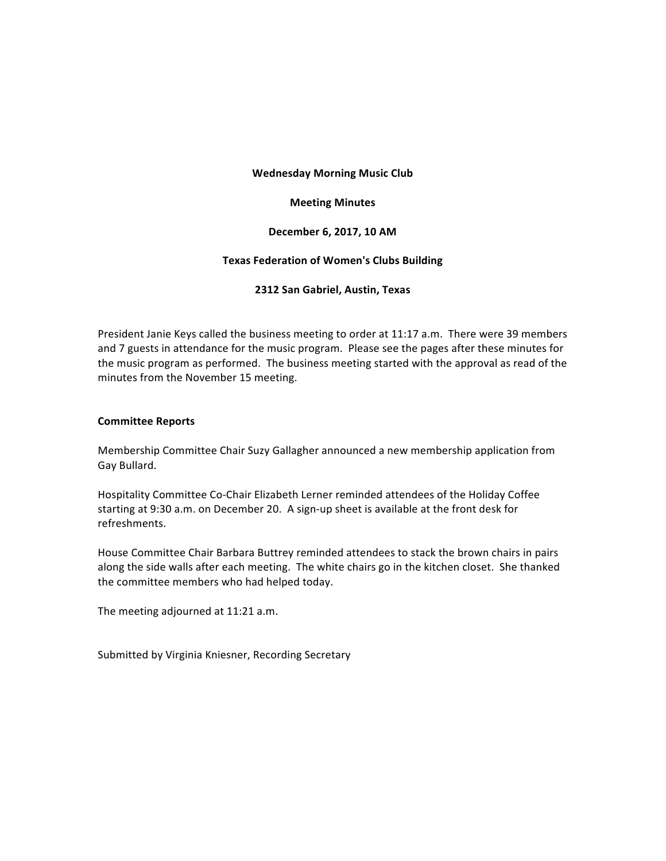## **Wednesday Morning Music Club**

## **Meeting Minutes**

## **December 6, 2017, 10 AM**

## **Texas Federation of Women's Clubs Building**

## **2312 San Gabriel, Austin, Texas**

President Janie Keys called the business meeting to order at 11:17 a.m. There were 39 members and 7 guests in attendance for the music program. Please see the pages after these minutes for the music program as performed. The business meeting started with the approval as read of the minutes from the November 15 meeting.

## **Committee Reports**

Membership Committee Chair Suzy Gallagher announced a new membership application from Gay Bullard.

Hospitality Committee Co-Chair Elizabeth Lerner reminded attendees of the Holiday Coffee starting at 9:30 a.m. on December 20. A sign-up sheet is available at the front desk for refreshments. 

House Committee Chair Barbara Buttrey reminded attendees to stack the brown chairs in pairs along the side walls after each meeting. The white chairs go in the kitchen closet. She thanked the committee members who had helped today.

The meeting adjourned at 11:21 a.m.

Submitted by Virginia Kniesner, Recording Secretary